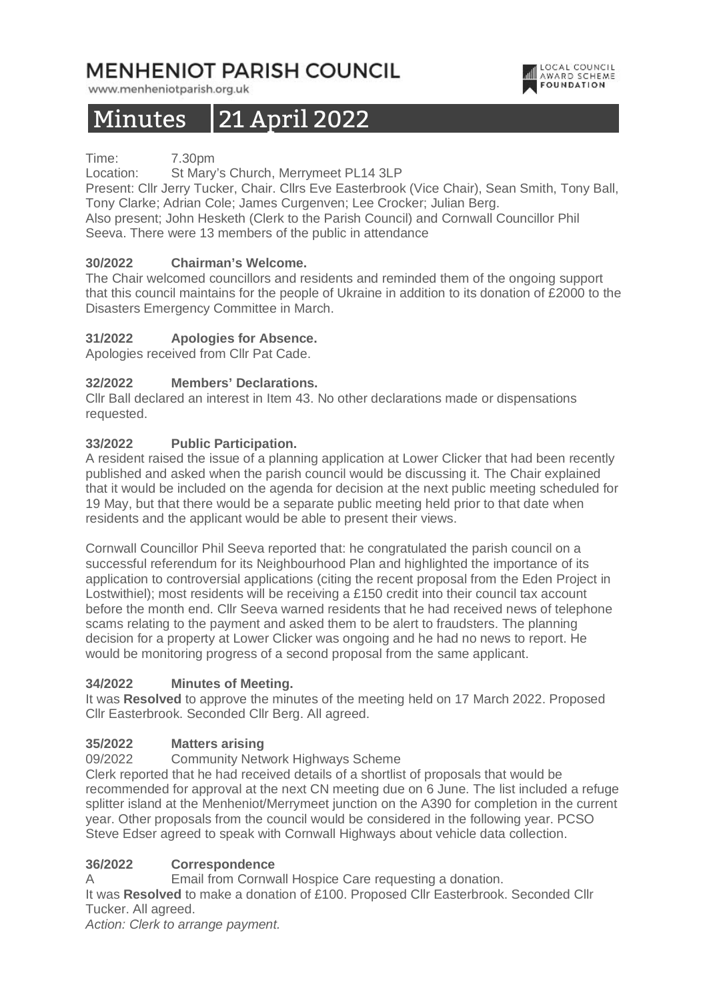# **MENHENIOT PARISH COUNCIL**

www.menheniotparish.org.uk

# Minutes 21 April 2022

Time: 7.30pm

Location: St Mary's Church, Merrymeet PL14 3LP

Present: Cllr Jerry Tucker, Chair. Cllrs Eve Easterbrook (Vice Chair), Sean Smith, Tony Ball, Tony Clarke; Adrian Cole; James Curgenven; Lee Crocker; Julian Berg.

LOCAL COUNCIL

**AWARD SCHEME** 

Also present; John Hesketh (Clerk to the Parish Council) and Cornwall Councillor Phil Seeva. There were 13 members of the public in attendance

## **30/2022 Chairman's Welcome.**

The Chair welcomed councillors and residents and reminded them of the ongoing support that this council maintains for the people of Ukraine in addition to its donation of £2000 to the Disasters Emergency Committee in March.

#### **31/2022 Apologies for Absence.**

Apologies received from Cllr Pat Cade.

## **32/2022 Members' Declarations.**

Cllr Ball declared an interest in Item 43. No other declarations made or dispensations requested.

#### **33/2022 Public Participation.**

A resident raised the issue of a planning application at Lower Clicker that had been recently published and asked when the parish council would be discussing it. The Chair explained that it would be included on the agenda for decision at the next public meeting scheduled for 19 May, but that there would be a separate public meeting held prior to that date when residents and the applicant would be able to present their views.

Cornwall Councillor Phil Seeva reported that: he congratulated the parish council on a successful referendum for its Neighbourhood Plan and highlighted the importance of its application to controversial applications (citing the recent proposal from the Eden Project in Lostwithiel); most residents will be receiving a £150 credit into their council tax account before the month end. Cllr Seeva warned residents that he had received news of telephone scams relating to the payment and asked them to be alert to fraudsters. The planning decision for a property at Lower Clicker was ongoing and he had no news to report. He would be monitoring progress of a second proposal from the same applicant.

#### **34/2022 Minutes of Meeting.**

It was **Resolved** to approve the minutes of the meeting held on 17 March 2022. Proposed Cllr Easterbrook. Seconded Cllr Berg. All agreed.

#### **35/2022 Matters arising**

09/2022 Community Network Highways Scheme

Clerk reported that he had received details of a shortlist of proposals that would be recommended for approval at the next CN meeting due on 6 June. The list included a refuge splitter island at the Menheniot/Merrymeet junction on the A390 for completion in the current year. Other proposals from the council would be considered in the following year. PCSO Steve Edser agreed to speak with Cornwall Highways about vehicle data collection.

## **36/2022 Correspondence**

A Email from Cornwall Hospice Care requesting a donation.

It was **Resolved** to make a donation of £100. Proposed Cllr Easterbrook. Seconded Cllr Tucker. All agreed.

Action: Clerk to arrange payment.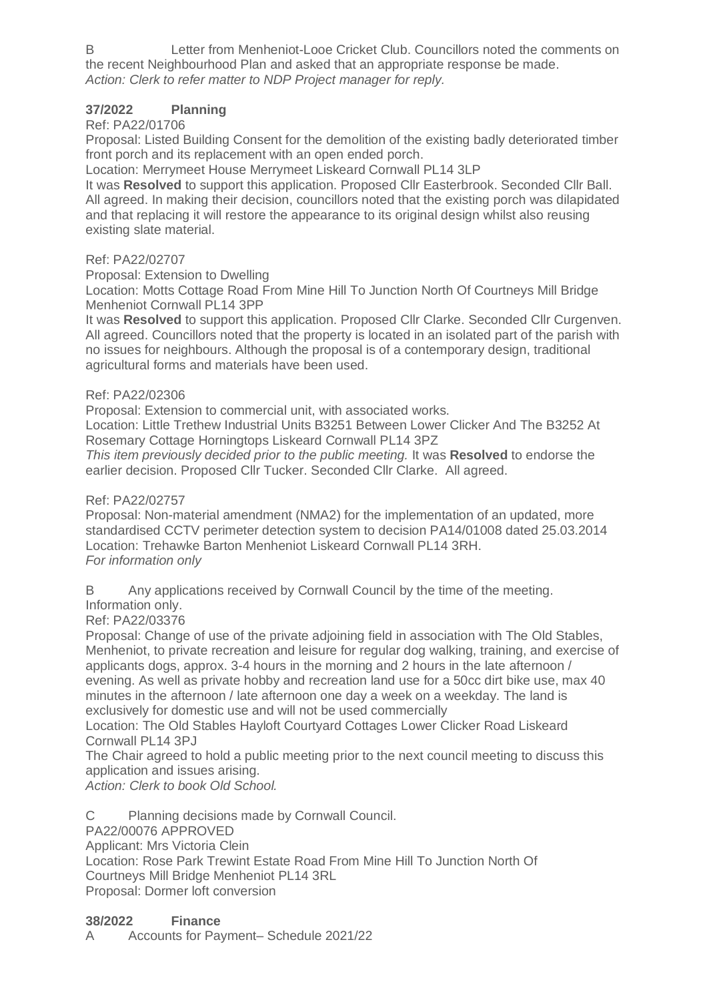B Letter from Menheniot-Looe Cricket Club. Councillors noted the comments on the recent Neighbourhood Plan and asked that an appropriate response be made. Action: Clerk to refer matter to NDP Project manager for reply.

# **37/2022 Planning**

# Ref: PA22/01706

Proposal: Listed Building Consent for the demolition of the existing badly deteriorated timber front porch and its replacement with an open ended porch.

Location: Merrymeet House Merrymeet Liskeard Cornwall PL14 3LP

It was **Resolved** to support this application. Proposed Cllr Easterbrook. Seconded Cllr Ball. All agreed. In making their decision, councillors noted that the existing porch was dilapidated and that replacing it will restore the appearance to its original design whilst also reusing existing slate material.

## Ref: PA22/02707

Proposal: Extension to Dwelling

Location: Motts Cottage Road From Mine Hill To Junction North Of Courtneys Mill Bridge Menheniot Cornwall PL14 3PP

It was **Resolved** to support this application. Proposed Cllr Clarke. Seconded Cllr Curgenven. All agreed. Councillors noted that the property is located in an isolated part of the parish with no issues for neighbours. Although the proposal is of a contemporary design, traditional agricultural forms and materials have been used.

## Ref: PA22/02306

Proposal: Extension to commercial unit, with associated works.

Location: Little Trethew Industrial Units B3251 Between Lower Clicker And The B3252 At Rosemary Cottage Horningtops Liskeard Cornwall PL14 3PZ

This item previously decided prior to the public meeting. It was **Resolved** to endorse the earlier decision. Proposed Cllr Tucker. Seconded Cllr Clarke. All agreed.

## Ref: PA22/02757

Proposal: Non-material amendment (NMA2) for the implementation of an updated, more standardised CCTV perimeter detection system to decision PA14/01008 dated 25.03.2014 Location: Trehawke Barton Menheniot Liskeard Cornwall PL14 3RH. For information only

B Any applications received by Cornwall Council by the time of the meeting.

Information only.

Ref: PA22/03376

Proposal: Change of use of the private adjoining field in association with The Old Stables, Menheniot, to private recreation and leisure for regular dog walking, training, and exercise of applicants dogs, approx. 3-4 hours in the morning and 2 hours in the late afternoon / evening. As well as private hobby and recreation land use for a 50cc dirt bike use, max 40 minutes in the afternoon / late afternoon one day a week on a weekday. The land is exclusively for domestic use and will not be used commercially

Location: The Old Stables Hayloft Courtyard Cottages Lower Clicker Road Liskeard Cornwall PL14 3PJ

The Chair agreed to hold a public meeting prior to the next council meeting to discuss this application and issues arising.

Action: Clerk to book Old School.

C Planning decisions made by Cornwall Council.

PA22/00076 APPROVED

Applicant: Mrs Victoria Clein

Location: Rose Park Trewint Estate Road From Mine Hill To Junction North Of Courtneys Mill Bridge Menheniot PL14 3RL

Proposal: Dormer loft conversion

## **38/2022 Finance**

A Accounts for Payment– Schedule 2021/22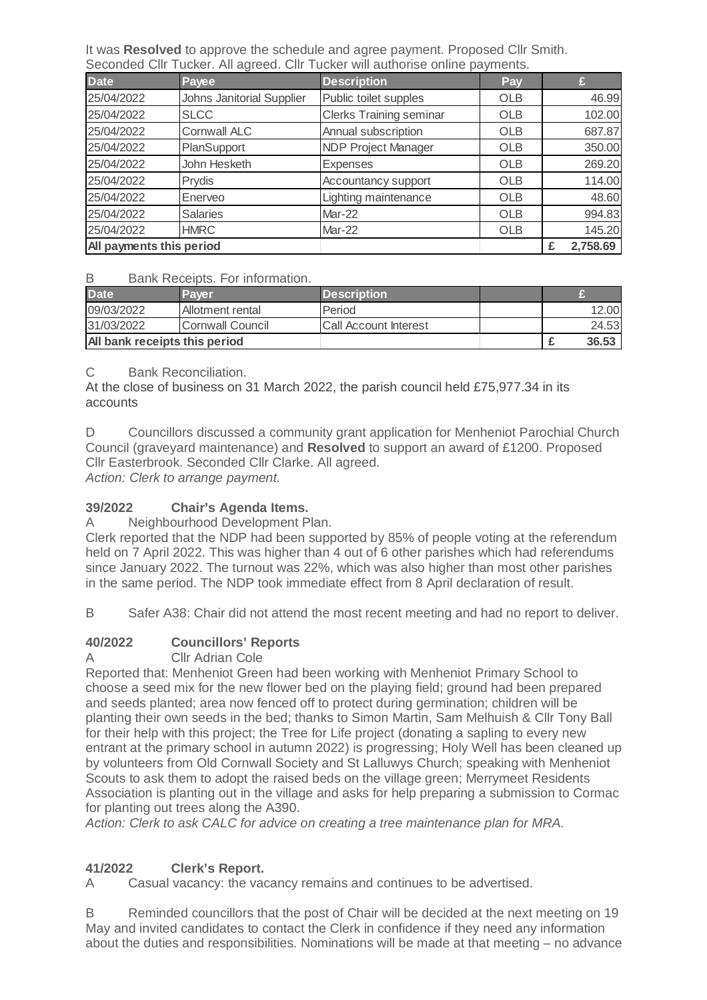It was **Resolved** to approve the schedule and agree payment. Proposed Cllr Smith. Seconded Cllr Tucker. All agreed. Cllr Tucker will authorise online payments.

| <b>Date</b>              | Payee                            | <b>Description</b>             | <b>Pay</b> |          |
|--------------------------|----------------------------------|--------------------------------|------------|----------|
| 25/04/2022               | <b>Johns Janitorial Supplier</b> | Public toilet supples          | OLB        | 46.99    |
| 25/04/2022               | <b>SLCC</b>                      | <b>Clerks Training seminar</b> | <b>OLB</b> | 102.00   |
| 25/04/2022               | <b>Cornwall ALC</b>              | Annual subscription            | <b>OLB</b> | 687.87   |
| 25/04/2022               | PlanSupport                      | <b>NDP Project Manager</b>     | <b>OLB</b> | 350.00   |
| 25/04/2022               | John Hesketh                     | <b>Expenses</b>                | <b>OLB</b> | 269.20   |
| 25/04/2022               | Prydis                           | Accountancy support            | <b>OLB</b> | 114.00   |
| 25/04/2022               | Enerveo                          | Lighting maintenance           | <b>OLB</b> | 48.60    |
| 25/04/2022               | <b>Salaries</b>                  | Mar-22                         | <b>OLB</b> | 994.83   |
| 25/04/2022               | <b>HMRC</b>                      | Mar-22                         | <b>OLB</b> | 145.20   |
| All payments this period |                                  |                                |            | 2,758.69 |

#### B Bank Receipts. For information.

| <b>Date</b>                   | Paver            | <b>Description</b>           |  |       |
|-------------------------------|------------------|------------------------------|--|-------|
| 09/03/2022                    | Allotment rental | Period                       |  | 12.00 |
| 31/03/2022                    | Cornwall Council | <b>Call Account Interest</b> |  | 24.53 |
| All bank receipts this period |                  |                              |  | 36.53 |

## C Bank Reconciliation.

At the close of business on 31 March 2022, the parish council held £75,977.34 in its accounts

D Councillors discussed a community grant application for Menheniot Parochial Church Council (graveyard maintenance) and **Resolved** to support an award of £1200. Proposed Cllr Easterbrook. Seconded Cllr Clarke. All agreed.

Action: Clerk to arrange payment.

## **39/2022 Chair's Agenda Items.**

A Neighbourhood Development Plan.

Clerk reported that the NDP had been supported by 85% of people voting at the referendum held on 7 April 2022. This was higher than 4 out of 6 other parishes which had referendums since January 2022. The turnout was 22%, which was also higher than most other parishes in the same period. The NDP took immediate effect from 8 April declaration of result.

B Safer A38: Chair did not attend the most recent meeting and had no report to deliver.

## **40/2022 Councillors' Reports**

# A Cllr Adrian Cole

Reported that: Menheniot Green had been working with Menheniot Primary School to choose a seed mix for the new flower bed on the playing field; ground had been prepared and seeds planted; area now fenced off to protect during germination; children will be planting their own seeds in the bed; thanks to Simon Martin, Sam Melhuish & Cllr Tony Ball for their help with this project; the Tree for Life project (donating a sapling to every new entrant at the primary school in autumn 2022) is progressing; Holy Well has been cleaned up by volunteers from Old Cornwall Society and St Lalluwys Church; speaking with Menheniot Scouts to ask them to adopt the raised beds on the village green; Merrymeet Residents Association is planting out in the village and asks for help preparing a submission to Cormac for planting out trees along the A390.

Action: Clerk to ask CALC for advice on creating a tree maintenance plan for MRA.

## **41/2022 Clerk's Report.**

A Casual vacancy: the vacancy remains and continues to be advertised.

B Reminded councillors that the post of Chair will be decided at the next meeting on 19 May and invited candidates to contact the Clerk in confidence if they need any information about the duties and responsibilities. Nominations will be made at that meeting – no advance